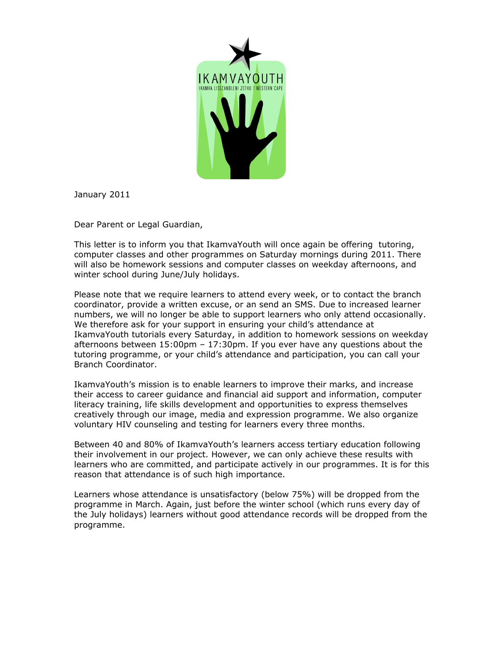

January 2011

Dear Parent or Legal Guardian,

This letter is to inform you that IkamvaYouth will once again be offering tutoring, computer classes and other programmes on Saturday mornings during 2011. There will also be homework sessions and computer classes on weekday afternoons, and winter school during June/July holidays.

Please note that we require learners to attend every week, or to contact the branch coordinator, provide a written excuse, or an send an SMS. Due to increased learner numbers, we will no longer be able to support learners who only attend occasionally. We therefore ask for your support in ensuring your child's attendance at IkamvaYouth tutorials every Saturday, in addition to homework sessions on weekday afternoons between 15:00pm – 17:30pm. If you ever have any questions about the tutoring programme, or your child's attendance and participation, you can call your Branch Coordinator.

IkamvaYouth's mission is to enable learners to improve their marks, and increase their access to career guidance and financial aid support and information, computer literacy training, life skills development and opportunities to express themselves creatively through our image, media and expression programme. We also organize voluntary HIV counseling and testing for learners every three months.

Between 40 and 80% of IkamvaYouth's learners access tertiary education following their involvement in our project. However, we can only achieve these results with learners who are committed, and participate actively in our programmes. It is for this reason that attendance is of such high importance.

Learners whose attendance is unsatisfactory (below 75%) will be dropped from the programme in March. Again, just before the winter school (which runs every day of the July holidays) learners without good attendance records will be dropped from the programme.